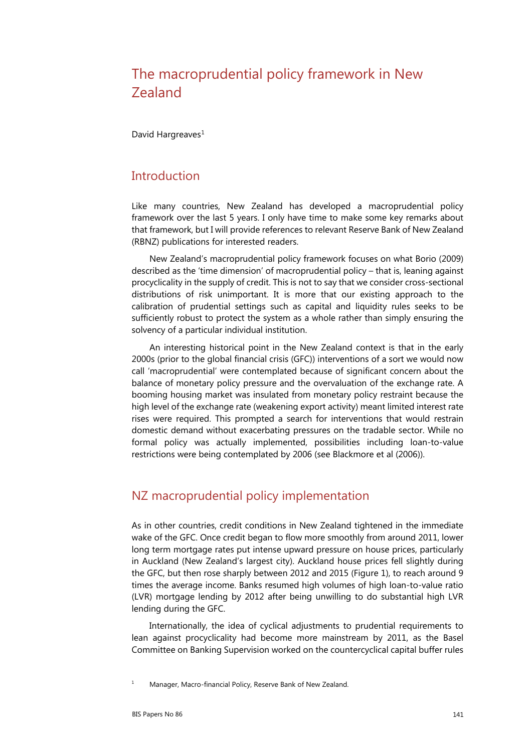# The macroprudential policy framework in New Zealand

David Hargreaves<sup>[1](#page-0-0)</sup>

### **Introduction**

Like many countries, New Zealand has developed a macroprudential policy framework over the last 5 years. I only have time to make some key remarks about that framework, but I will provide references to relevant Reserve Bank of New Zealand (RBNZ) publications for interested readers.

New Zealand's macroprudential policy framework focuses on what Borio (2009) described as the 'time dimension' of macroprudential policy – that is, leaning against procyclicality in the supply of credit. This is not to say that we consider cross-sectional distributions of risk unimportant. It is more that our existing approach to the calibration of prudential settings such as capital and liquidity rules seeks to be sufficiently robust to protect the system as a whole rather than simply ensuring the solvency of a particular individual institution.

An interesting historical point in the New Zealand context is that in the early 2000s (prior to the global financial crisis (GFC)) interventions of a sort we would now call 'macroprudential' were contemplated because of significant concern about the balance of monetary policy pressure and the overvaluation of the exchange rate. A booming housing market was insulated from monetary policy restraint because the high level of the exchange rate (weakening export activity) meant limited interest rate rises were required. This prompted a search for interventions that would restrain domestic demand without exacerbating pressures on the tradable sector. While no formal policy was actually implemented, possibilities including loan-to-value restrictions were being contemplated by 2006 (see Blackmore et al (2006)).

### NZ macroprudential policy implementation

As in other countries, credit conditions in New Zealand tightened in the immediate wake of the GFC. Once credit began to flow more smoothly from around 2011, lower long term mortgage rates put intense upward pressure on house prices, particularly in Auckland (New Zealand's largest city). Auckland house prices fell slightly during the GFC, but then rose sharply between 2012 and 2015 (Figure 1), to reach around 9 times the average income. Banks resumed high volumes of high loan-to-value ratio (LVR) mortgage lending by 2012 after being unwilling to do substantial high LVR lending during the GFC.

Internationally, the idea of cyclical adjustments to prudential requirements to lean against procyclicality had become more mainstream by 2011, as the Basel Committee on Banking Supervision worked on the countercyclical capital buffer rules

<span id="page-0-0"></span><sup>&</sup>lt;sup>1</sup> Manager, Macro-financial Policy, Reserve Bank of New Zealand.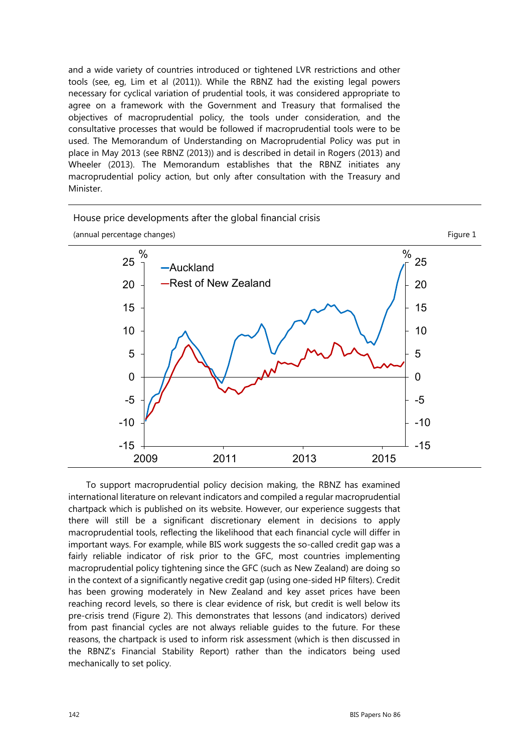and a wide variety of countries introduced or tightened LVR restrictions and other tools (see, eg, Lim et al (2011)). While the RBNZ had the existing legal powers necessary for cyclical variation of prudential tools, it was considered appropriate to agree on a framework with the Government and Treasury that formalised the objectives of macroprudential policy, the tools under consideration, and the consultative processes that would be followed if macroprudential tools were to be used. The Memorandum of Understanding on Macroprudential Policy was put in place in May 2013 (see RBNZ (2013)) and is described in detail in Rogers (2013) and Wheeler (2013). The Memorandum establishes that the RBNZ initiates any macroprudential policy action, but only after consultation with the Treasury and Minister.



To support macroprudential policy decision making, the RBNZ has examined international literature on relevant indicators and compiled a regular macroprudential chartpack which is published on its website. However, our experience suggests that there will still be a significant discretionary element in decisions to apply macroprudential tools, reflecting the likelihood that each financial cycle will differ in important ways. For example, while BIS work suggests the so-called credit gap was a fairly reliable indicator of risk prior to the GFC, most countries implementing macroprudential policy tightening since the GFC (such as New Zealand) are doing so in the context of a significantly negative credit gap (using one-sided HP filters). Credit has been growing moderately in New Zealand and key asset prices have been reaching record levels, so there is clear evidence of risk, but credit is well below its pre-crisis trend (Figure 2). This demonstrates that lessons (and indicators) derived from past financial cycles are not always reliable guides to the future. For these reasons, the chartpack is used to inform risk assessment (which is then discussed in the RBNZ's Financial Stability Report) rather than the indicators being used mechanically to set policy.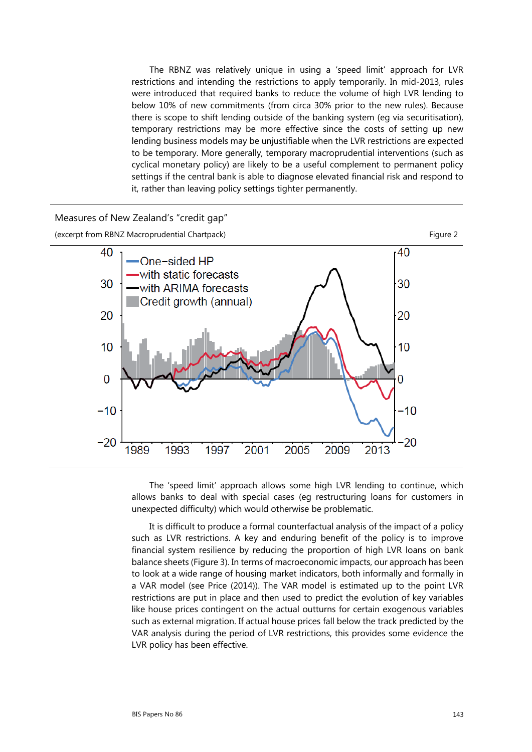The RBNZ was relatively unique in using a 'speed limit' approach for LVR restrictions and intending the restrictions to apply temporarily. In mid-2013, rules were introduced that required banks to reduce the volume of high LVR lending to below 10% of new commitments (from circa 30% prior to the new rules). Because there is scope to shift lending outside of the banking system (eg via securitisation), temporary restrictions may be more effective since the costs of setting up new lending business models may be unjustifiable when the LVR restrictions are expected to be temporary. More generally, temporary macroprudential interventions (such as cyclical monetary policy) are likely to be a useful complement to permanent policy settings if the central bank is able to diagnose elevated financial risk and respond to it, rather than leaving policy settings tighter permanently.



The 'speed limit' approach allows some high LVR lending to continue, which allows banks to deal with special cases (eg restructuring loans for customers in unexpected difficulty) which would otherwise be problematic.

It is difficult to produce a formal counterfactual analysis of the impact of a policy such as LVR restrictions. A key and enduring benefit of the policy is to improve financial system resilience by reducing the proportion of high LVR loans on bank balance sheets (Figure 3). In terms of macroeconomic impacts, our approach has been to look at a wide range of housing market indicators, both informally and formally in a VAR model (see Price (2014)). The VAR model is estimated up to the point LVR restrictions are put in place and then used to predict the evolution of key variables like house prices contingent on the actual outturns for certain exogenous variables such as external migration. If actual house prices fall below the track predicted by the VAR analysis during the period of LVR restrictions, this provides some evidence the LVR policy has been effective.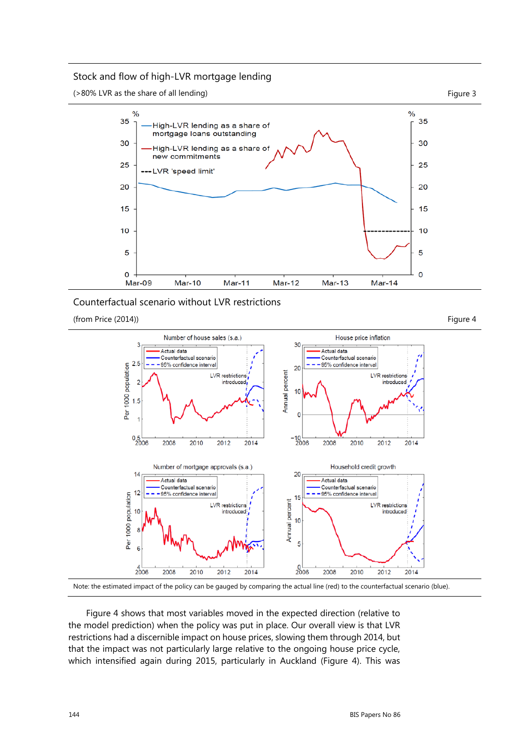#### Stock and flow of high-LVR mortgage lending

( $>80\%$  LVR as the share of all lending) Figure 3



Counterfactual scenario without LVR restrictions

 $(\text{from Price } (2014))$  Figure 4





Note: the estimated impact of the policy can be gauged by comparing the actual line (red) to the counterfactual scenario (blue).

Figure 4 shows that most variables moved in the expected direction (relative to the model prediction) when the policy was put in place. Our overall view is that LVR restrictions had a discernible impact on house prices, slowing them through 2014, but that the impact was not particularly large relative to the ongoing house price cycle, which intensified again during 2015, particularly in Auckland (Figure 4). This was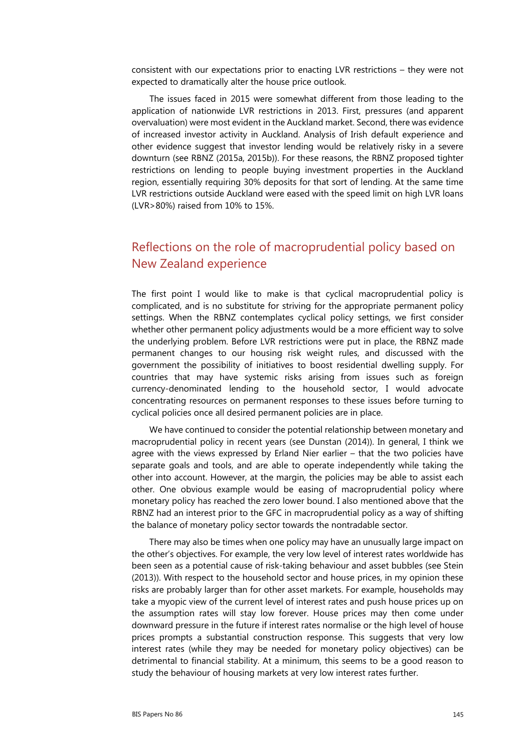consistent with our expectations prior to enacting LVR restrictions – they were not expected to dramatically alter the house price outlook.

The issues faced in 2015 were somewhat different from those leading to the application of nationwide LVR restrictions in 2013. First, pressures (and apparent overvaluation) were most evident in the Auckland market. Second, there was evidence of increased investor activity in Auckland. Analysis of Irish default experience and other evidence suggest that investor lending would be relatively risky in a severe downturn (see RBNZ (2015a, 2015b)). For these reasons, the RBNZ proposed tighter restrictions on lending to people buying investment properties in the Auckland region, essentially requiring 30% deposits for that sort of lending. At the same time LVR restrictions outside Auckland were eased with the speed limit on high LVR loans (LVR>80%) raised from 10% to 15%.

## Reflections on the role of macroprudential policy based on New Zealand experience

The first point I would like to make is that cyclical macroprudential policy is complicated, and is no substitute for striving for the appropriate permanent policy settings. When the RBNZ contemplates cyclical policy settings, we first consider whether other permanent policy adjustments would be a more efficient way to solve the underlying problem. Before LVR restrictions were put in place, the RBNZ made permanent changes to our housing risk weight rules, and discussed with the government the possibility of initiatives to boost residential dwelling supply. For countries that may have systemic risks arising from issues such as foreign currency-denominated lending to the household sector, I would advocate concentrating resources on permanent responses to these issues before turning to cyclical policies once all desired permanent policies are in place.

We have continued to consider the potential relationship between monetary and macroprudential policy in recent years (see Dunstan (2014)). In general, I think we agree with the views expressed by Erland Nier earlier – that the two policies have separate goals and tools, and are able to operate independently while taking the other into account. However, at the margin, the policies may be able to assist each other. One obvious example would be easing of macroprudential policy where monetary policy has reached the zero lower bound. I also mentioned above that the RBNZ had an interest prior to the GFC in macroprudential policy as a way of shifting the balance of monetary policy sector towards the nontradable sector.

There may also be times when one policy may have an unusually large impact on the other's objectives. For example, the very low level of interest rates worldwide has been seen as a potential cause of risk-taking behaviour and asset bubbles (see Stein (2013)). With respect to the household sector and house prices, in my opinion these risks are probably larger than for other asset markets. For example, households may take a myopic view of the current level of interest rates and push house prices up on the assumption rates will stay low forever. House prices may then come under downward pressure in the future if interest rates normalise or the high level of house prices prompts a substantial construction response. This suggests that very low interest rates (while they may be needed for monetary policy objectives) can be detrimental to financial stability. At a minimum, this seems to be a good reason to study the behaviour of housing markets at very low interest rates further.